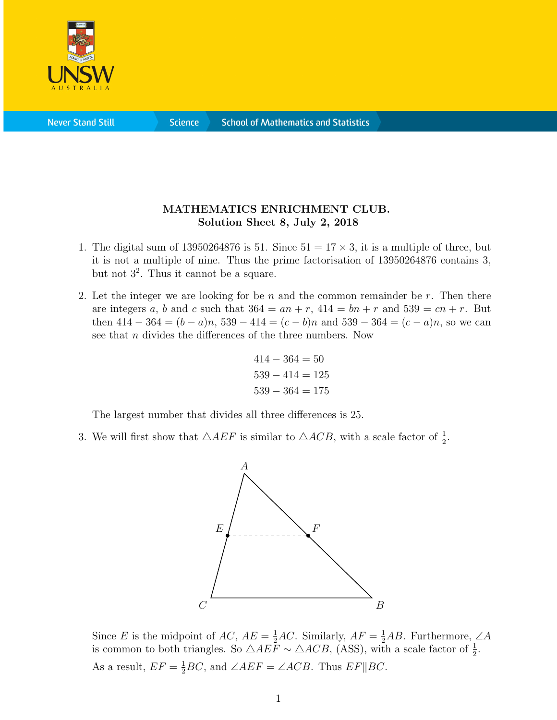

**Science** 

## MATHEMATICS ENRICHMENT CLUB. Solution Sheet 8, July 2, 2018

- 1. The digital sum of 13950264876 is 51. Since  $51 = 17 \times 3$ , it is a multiple of three, but it is not a multiple of nine. Thus the prime factorisation of 13950264876 contains 3, but not  $3^2$ . Thus it cannot be a square.
- 2. Let the integer we are looking for be  $n$  and the common remainder be  $r$ . Then there are integers a, b and c such that  $364 = an + r$ ,  $414 = bn + r$  and  $539 = cn + r$ . But then  $414 - 364 = (b - a)n$ ,  $539 - 414 = (c - b)n$  and  $539 - 364 = (c - a)n$ , so we can see that *n* divides the differences of the three numbers. Now

$$
414 - 364 = 50
$$
  

$$
539 - 414 = 125
$$
  

$$
539 - 364 = 175
$$

The largest number that divides all three differences is 25.

3. We will first show that  $\triangle AEF$  is similar to  $\triangle ACB$ , with a scale factor of  $\frac{1}{2}$ .



Since E is the midpoint of AC,  $AE = \frac{1}{2}AC$ . Similarly,  $AF = \frac{1}{2}AB$ . Furthermore,  $\angle A$ is common to both triangles. So  $\triangle AE\overline{F} \sim \triangle ACB$ , (ASS), with a scale factor of  $\frac{1}{2}$ . As a result,  $EF = \frac{1}{2}BC$ , and  $\angle AEF = \angle ACB$ . Thus  $EF||BC$ .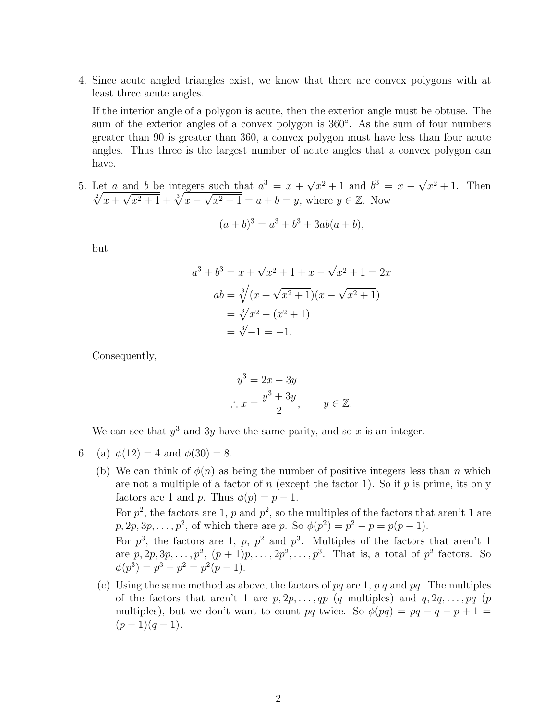4. Since acute angled triangles exist, we know that there are convex polygons with at least three acute angles.

If the interior angle of a polygon is acute, then the exterior angle must be obtuse. The sum of the exterior angles of a convex polygon is 360°. As the sum of four numbers greater than 90 is greater than 360, a convex polygon must have less than four acute angles. Thus three is the largest number of acute angles that a convex polygon can have.

5. Let a and b be integers such that  $a^3 = x +$ √  $\sqrt{x^2+1}$  and  $b^3 = x -$ √  $x^2+1$ . Then  $\sqrt[2]{x+}$  $\frac{a_1}{a_2}$  $\overline{x^2+1}+\sqrt[3]{x-1}$ √  $\overline{x^2+1} = a+b = y$ , where  $y \in \mathbb{Z}$ . Now

$$
(a+b)^3 = a^3 + b^3 + 3ab(a+b),
$$

but

$$
a^{3} + b^{3} = x + \sqrt{x^{2} + 1} + x - \sqrt{x^{2} + 1} = 2x
$$
  
\n
$$
ab = \sqrt[3]{(x + \sqrt{x^{2} + 1})(x - \sqrt{x^{2} + 1})}
$$
  
\n
$$
= \sqrt[3]{x^{2} - (x^{2} + 1)}
$$
  
\n
$$
= \sqrt[3]{-1} = -1.
$$

Consequently,

$$
y^3 = 2x - 3y
$$
  
\n
$$
\therefore x = \frac{y^3 + 3y}{2}, \qquad y \in \mathbb{Z}.
$$

We can see that  $y^3$  and 3y have the same parity, and so x is an integer.

- 6. (a)  $\phi(12) = 4$  and  $\phi(30) = 8$ .
	- (b) We can think of  $\phi(n)$  as being the number of positive integers less than n which are not a multiple of a factor of n (except the factor 1). So if  $p$  is prime, its only factors are 1 and p. Thus  $\phi(p) = p - 1$ . For  $p^2$ , the factors are 1, p and  $p^2$ , so the multiples of the factors that aren't 1 are  $p, 2p, 3p, \ldots, p^2$ , of which there are p. So  $\phi(p^2) = p^2 - p = p(p-1)$ .

For  $p^3$ , the factors are 1, p,  $p^2$  and  $p^3$ . Multiples of the factors that aren't 1 are  $p, 2p, 3p, \ldots, p^2, (p+1)p, \ldots, 2p^2, \ldots, p^3$ . That is, a total of  $p^2$  factors. So  $\phi(p^3) = p^3 - p^2 = p^2(p-1).$ 

(c) Using the same method as above, the factors of  $pq$  are 1,  $p$  q and  $pq$ . The multiples of the factors that aren't 1 are  $p, 2p, \ldots, qp$  (q multiples) and  $q, 2q, \ldots, pq$  (p multiples), but we don't want to count pq twice. So  $\phi(pq) = pq - q - p + 1 =$  $(p-1)(q-1)$ .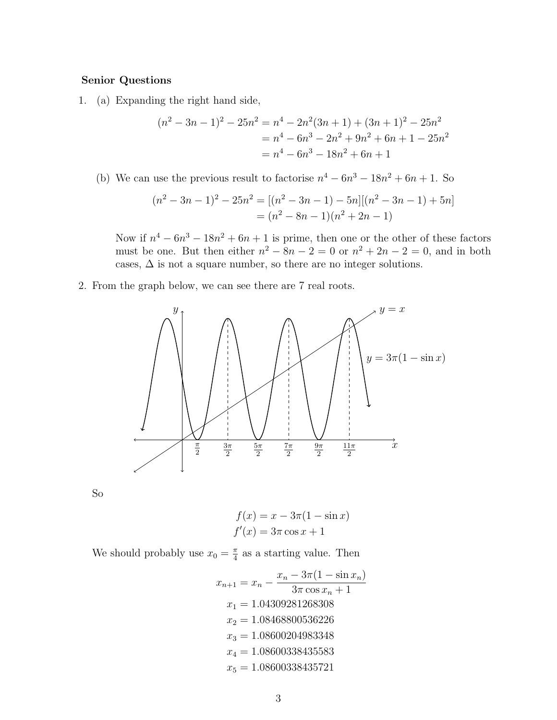## Senior Questions

1. (a) Expanding the right hand side,

$$
(n2 - 3n - 1)2 - 25n2 = n4 - 2n2(3n + 1) + (3n + 1)2 - 25n2
$$
  
= n<sup>4</sup> - 6n<sup>3</sup> - 2n<sup>2</sup> + 9n<sup>2</sup> + 6n + 1 - 25n<sup>2</sup>  
= n<sup>4</sup> - 6n<sup>3</sup> - 18n<sup>2</sup> + 6n + 1

(b) We can use the previous result to factorise  $n^4 - 6n^3 - 18n^2 + 6n + 1$ . So

$$
(n2 - 3n - 1)2 - 25n2 = [(n2 - 3n - 1) - 5n][(n2 - 3n - 1) + 5n]
$$

$$
= (n2 - 8n - 1)(n2 + 2n - 1)
$$

Now if  $n^4 - 6n^3 - 18n^2 + 6n + 1$  is prime, then one or the other of these factors must be one. But then either  $n^2 - 8n - 2 = 0$  or  $n^2 + 2n - 2 = 0$ , and in both cases,  $\Delta$  is not a square number, so there are no integer solutions.

2. From the graph below, we can see there are 7 real roots.



So

$$
f(x) = x - 3\pi(1 - \sin x)
$$
  

$$
f'(x) = 3\pi \cos x + 1
$$

We should probably use  $x_0 = \frac{\pi}{4}$  $\frac{\pi}{4}$  as a starting value. Then

$$
x_{n+1} = x_n - \frac{x_n - 3\pi(1 - \sin x_n)}{3\pi \cos x_n + 1}
$$

$$
x_1 = 1.04309281268308
$$

$$
x_2 = 1.08468800536226
$$

$$
x_3 = 1.08600204983348
$$

$$
x_4 = 1.08600338435583
$$

$$
x_5 = 1.08600338435721
$$